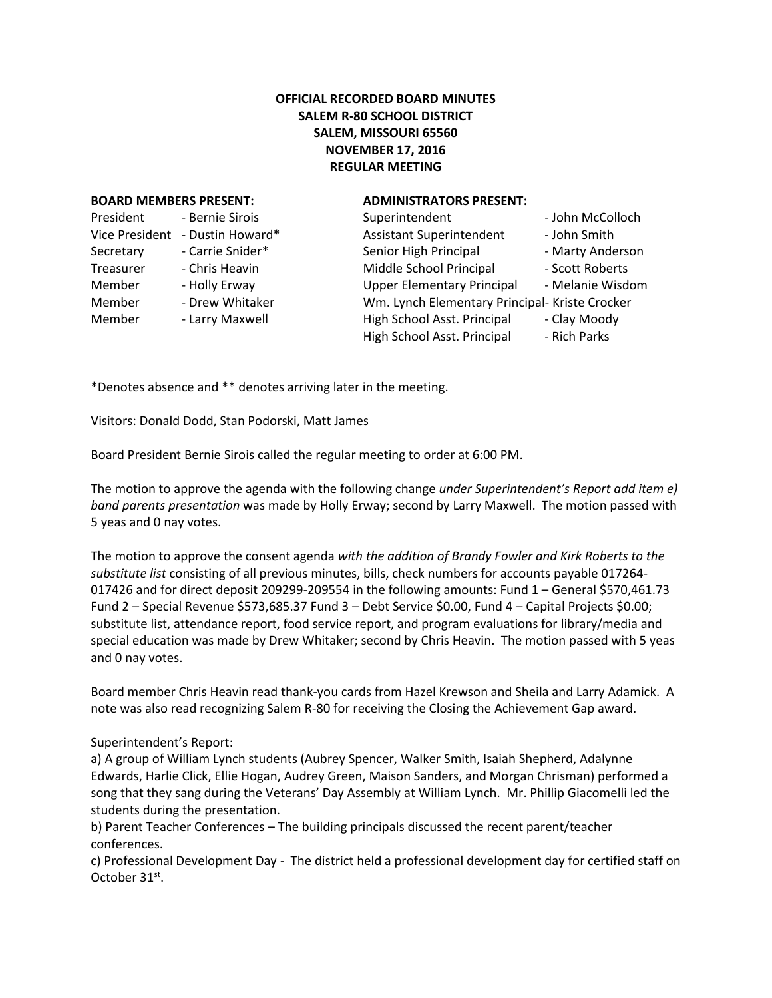# **OFFICIAL RECORDED BOARD MINUTES SALEM R-80 SCHOOL DISTRICT SALEM, MISSOURI 65560 NOVEMBER 17, 2016 REGULAR MEETING**

### **BOARD MEMBERS PRESENT: ADMINISTRATORS PRESENT:**

| President             | - Bernie Sirois  |
|-----------------------|------------------|
| <b>Vice President</b> | - Dustin Howard* |
| Secretary             | - Carrie Snider* |
| Treasurer             | - Chris Heavin   |
| Member                | - Holly Erway    |
| Member                | - Drew Whitaker  |
| Member                | - Larry Maxwell  |
|                       |                  |

| President      | - Bernie Sirois  | Superintendent                                 | - John McColloch |
|----------------|------------------|------------------------------------------------|------------------|
| Vice President | - Dustin Howard* | <b>Assistant Superintendent</b>                | - John Smith     |
| Secretary      | - Carrie Snider* | Senior High Principal                          | - Marty Anderson |
| Treasurer      | - Chris Heavin   | Middle School Principal                        | - Scott Roberts  |
| Member         | - Holly Erway    | <b>Upper Elementary Principal</b>              | - Melanie Wisdom |
| Member         | - Drew Whitaker  | Wm. Lynch Elementary Principal- Kriste Crocker |                  |
| Member         | - Larry Maxwell  | High School Asst. Principal                    | - Clay Moody     |
|                |                  | High School Asst. Principal                    | - Rich Parks     |
|                |                  |                                                |                  |

\*Denotes absence and \*\* denotes arriving later in the meeting.

Visitors: Donald Dodd, Stan Podorski, Matt James

Board President Bernie Sirois called the regular meeting to order at 6:00 PM.

The motion to approve the agenda with the following change *under Superintendent's Report add item e) band parents presentation* was made by Holly Erway; second by Larry Maxwell. The motion passed with 5 yeas and 0 nay votes.

The motion to approve the consent agenda *with the addition of Brandy Fowler and Kirk Roberts to the substitute list* consisting of all previous minutes, bills, check numbers for accounts payable 017264- 017426 and for direct deposit 209299-209554 in the following amounts: Fund 1 – General \$570,461.73 Fund 2 – Special Revenue \$573,685.37 Fund 3 – Debt Service \$0.00, Fund 4 – Capital Projects \$0.00; substitute list, attendance report, food service report, and program evaluations for library/media and special education was made by Drew Whitaker; second by Chris Heavin. The motion passed with 5 yeas and 0 nay votes.

Board member Chris Heavin read thank-you cards from Hazel Krewson and Sheila and Larry Adamick. A note was also read recognizing Salem R-80 for receiving the Closing the Achievement Gap award.

## Superintendent's Report:

a) A group of William Lynch students (Aubrey Spencer, Walker Smith, Isaiah Shepherd, Adalynne Edwards, Harlie Click, Ellie Hogan, Audrey Green, Maison Sanders, and Morgan Chrisman) performed a song that they sang during the Veterans' Day Assembly at William Lynch. Mr. Phillip Giacomelli led the students during the presentation.

b) Parent Teacher Conferences – The building principals discussed the recent parent/teacher conferences.

c) Professional Development Day - The district held a professional development day for certified staff on October 31<sup>st</sup>.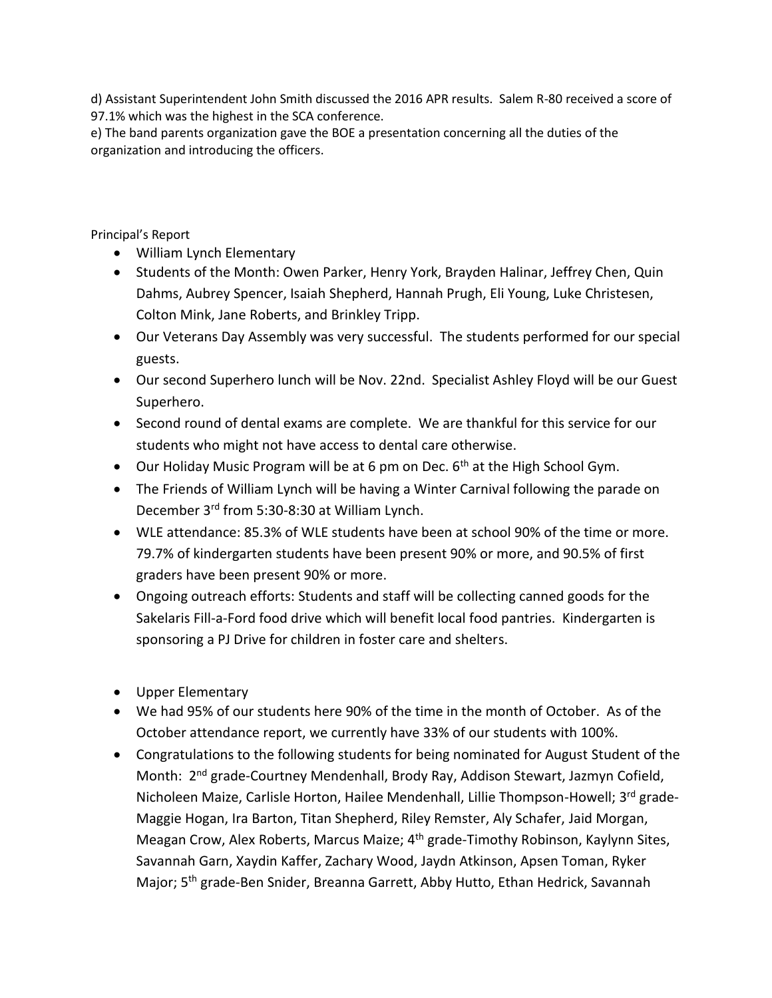d) Assistant Superintendent John Smith discussed the 2016 APR results. Salem R-80 received a score of 97.1% which was the highest in the SCA conference.

e) The band parents organization gave the BOE a presentation concerning all the duties of the organization and introducing the officers.

Principal's Report

- William Lynch Elementary
- Students of the Month: Owen Parker, Henry York, Brayden Halinar, Jeffrey Chen, Quin Dahms, Aubrey Spencer, Isaiah Shepherd, Hannah Prugh, Eli Young, Luke Christesen, Colton Mink, Jane Roberts, and Brinkley Tripp.
- Our Veterans Day Assembly was very successful. The students performed for our special guests.
- Our second Superhero lunch will be Nov. 22nd. Specialist Ashley Floyd will be our Guest Superhero.
- Second round of dental exams are complete. We are thankful for this service for our students who might not have access to dental care otherwise.
- $\bullet$  Our Holiday Music Program will be at 6 pm on Dec. 6<sup>th</sup> at the High School Gym.
- The Friends of William Lynch will be having a Winter Carnival following the parade on December 3rd from 5:30-8:30 at William Lynch.
- WLE attendance: 85.3% of WLE students have been at school 90% of the time or more. 79.7% of kindergarten students have been present 90% or more, and 90.5% of first graders have been present 90% or more.
- Ongoing outreach efforts: Students and staff will be collecting canned goods for the Sakelaris Fill-a-Ford food drive which will benefit local food pantries. Kindergarten is sponsoring a PJ Drive for children in foster care and shelters.
- Upper Elementary
- We had 95% of our students here 90% of the time in the month of October. As of the October attendance report, we currently have 33% of our students with 100%.
- Congratulations to the following students for being nominated for August Student of the Month: 2<sup>nd</sup> grade-Courtney Mendenhall, Brody Ray, Addison Stewart, Jazmyn Cofield, Nicholeen Maize, Carlisle Horton, Hailee Mendenhall, Lillie Thompson-Howell; 3rd grade-Maggie Hogan, Ira Barton, Titan Shepherd, Riley Remster, Aly Schafer, Jaid Morgan, Meagan Crow, Alex Roberts, Marcus Maize; 4<sup>th</sup> grade-Timothy Robinson, Kaylynn Sites, Savannah Garn, Xaydin Kaffer, Zachary Wood, Jaydn Atkinson, Apsen Toman, Ryker Major; 5th grade-Ben Snider, Breanna Garrett, Abby Hutto, Ethan Hedrick, Savannah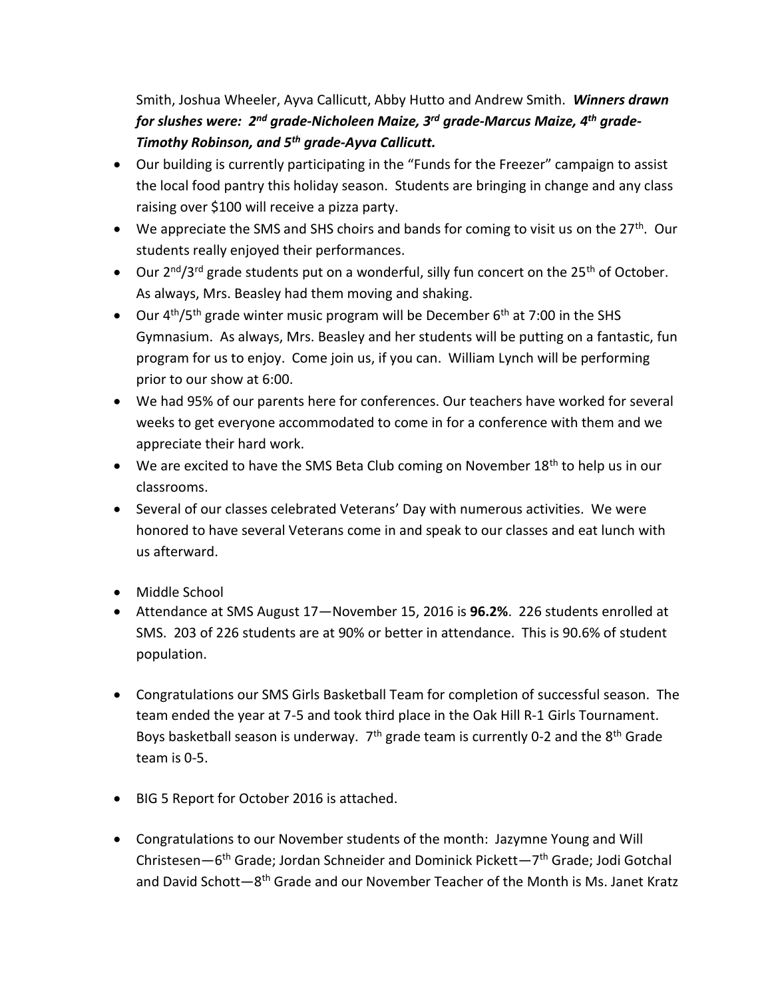Smith, Joshua Wheeler, Ayva Callicutt, Abby Hutto and Andrew Smith. *Winners drawn for slushes were: 2nd grade-Nicholeen Maize, 3rd grade-Marcus Maize, 4th grade-Timothy Robinson, and 5th grade-Ayva Callicutt.* 

- Our building is currently participating in the "Funds for the Freezer" campaign to assist the local food pantry this holiday season. Students are bringing in change and any class raising over \$100 will receive a pizza party.
- $\bullet$  We appreciate the SMS and SHS choirs and bands for coming to visit us on the 27<sup>th</sup>. Our students really enjoyed their performances.
- $\bullet$  Our 2<sup>nd</sup>/3<sup>rd</sup> grade students put on a wonderful, silly fun concert on the 25<sup>th</sup> of October. As always, Mrs. Beasley had them moving and shaking.
- $\bullet$  Our 4<sup>th</sup>/5<sup>th</sup> grade winter music program will be December 6<sup>th</sup> at 7:00 in the SHS Gymnasium. As always, Mrs. Beasley and her students will be putting on a fantastic, fun program for us to enjoy. Come join us, if you can. William Lynch will be performing prior to our show at 6:00.
- We had 95% of our parents here for conferences. Our teachers have worked for several weeks to get everyone accommodated to come in for a conference with them and we appreciate their hard work.
- $\bullet$  We are excited to have the SMS Beta Club coming on November 18<sup>th</sup> to help us in our classrooms.
- Several of our classes celebrated Veterans' Day with numerous activities. We were honored to have several Veterans come in and speak to our classes and eat lunch with us afterward.
- Middle School
- Attendance at SMS August 17—November 15, 2016 is **96.2%**. 226 students enrolled at SMS. 203 of 226 students are at 90% or better in attendance. This is 90.6% of student population.
- Congratulations our SMS Girls Basketball Team for completion of successful season. The team ended the year at 7-5 and took third place in the Oak Hill R-1 Girls Tournament. Boys basketball season is underway.  $7<sup>th</sup>$  grade team is currently 0-2 and the  $8<sup>th</sup>$  Grade team is 0-5.
- BIG 5 Report for October 2016 is attached.
- Congratulations to our November students of the month: Jazymne Young and Will Christesen—6<sup>th</sup> Grade; Jordan Schneider and Dominick Pickett—7<sup>th</sup> Grade; Jodi Gotchal and David Schott—8<sup>th</sup> Grade and our November Teacher of the Month is Ms. Janet Kratz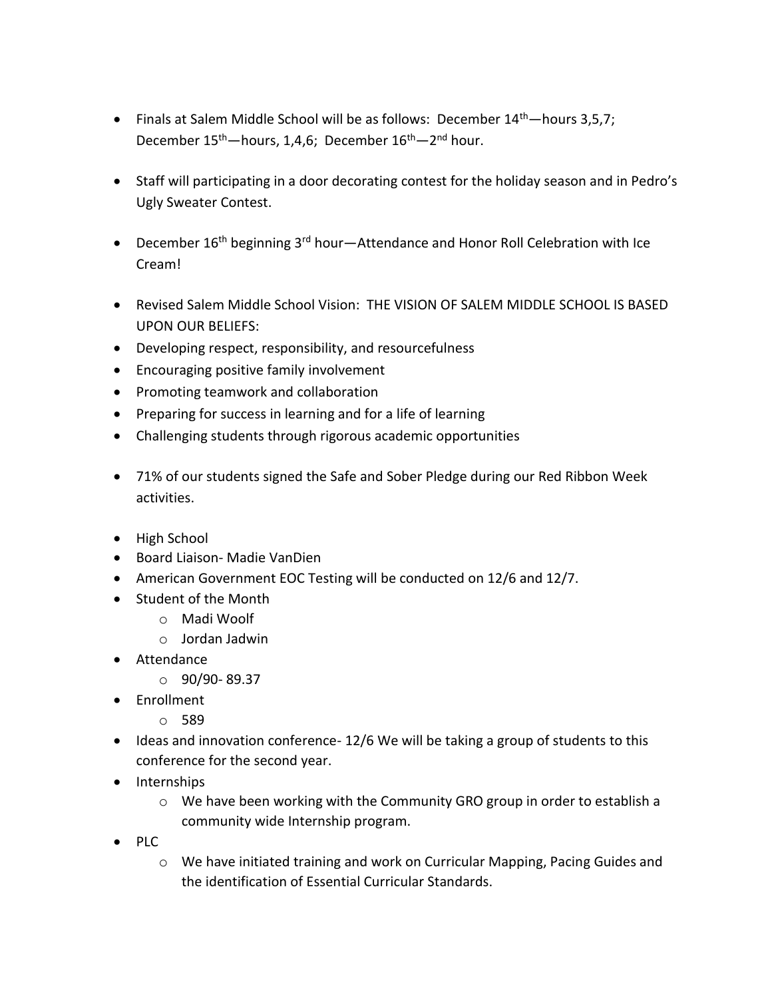- Finals at Salem Middle School will be as follows: December  $14<sup>th</sup>$  hours 3,5,7; December 15<sup>th</sup>—hours, 1,4,6; December 16<sup>th</sup>—2<sup>nd</sup> hour.
- Staff will participating in a door decorating contest for the holiday season and in Pedro's Ugly Sweater Contest.
- **•** December  $16<sup>th</sup>$  beginning  $3<sup>rd</sup>$  hour—Attendance and Honor Roll Celebration with Ice Cream!
- Revised Salem Middle School Vision: THE VISION OF SALEM MIDDLE SCHOOL IS BASED UPON OUR BELIEFS:
- Developing respect, responsibility, and resourcefulness
- Encouraging positive family involvement
- Promoting teamwork and collaboration
- Preparing for success in learning and for a life of learning
- Challenging students through rigorous academic opportunities
- 71% of our students signed the Safe and Sober Pledge during our Red Ribbon Week activities.
- High School
- Board Liaison- Madie VanDien
- American Government EOC Testing will be conducted on 12/6 and 12/7.
- Student of the Month
	- o Madi Woolf
	- o Jordan Jadwin
- Attendance
	- $O$  90/90-89.37
- Enrollment
	- o 589
- Ideas and innovation conference- 12/6 We will be taking a group of students to this conference for the second year.
- Internships
	- $\circ$  We have been working with the Community GRO group in order to establish a community wide Internship program.
- $\bullet$  PLC
	- o We have initiated training and work on Curricular Mapping, Pacing Guides and the identification of Essential Curricular Standards.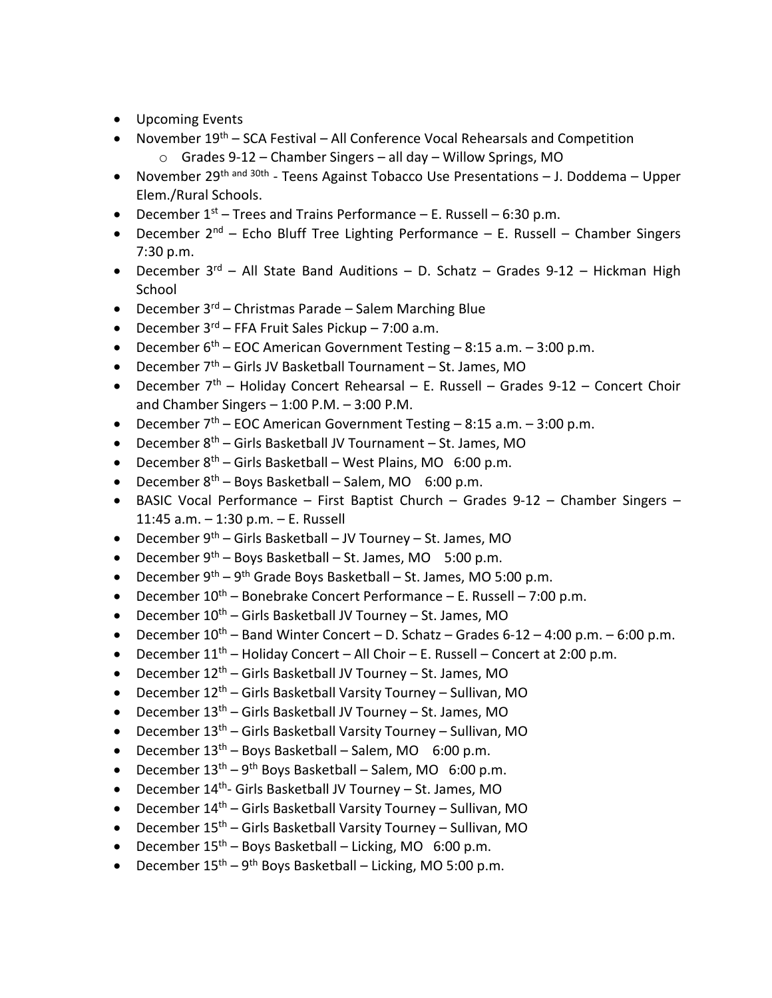- Upcoming Events
- November  $19<sup>th</sup>$  SCA Festival All Conference Vocal Rehearsals and Competition
	- o Grades 9-12 Chamber Singers all day Willow Springs, MO
- November 29<sup>th and 30th</sup> Teens Against Tobacco Use Presentations J. Doddema Upper Elem./Rural Schools.
- **•** December  $1^{st}$  Trees and Trains Performance E. Russell 6:30 p.m.
- December  $2^{nd}$  Echo Bluff Tree Lighting Performance E. Russell Chamber Singers 7:30 p.m.
- December  $3^{rd}$  All State Band Auditions D. Schatz Grades 9-12 Hickman High School
- December  $3<sup>rd</sup>$  Christmas Parade Salem Marching Blue
- **•** December  $3^{rd}$  FFA Fruit Sales Pickup 7:00 a.m.
- **•** December  $6^{th}$  EOC American Government Testing 8:15 a.m. 3:00 p.m.
- December  $7<sup>th</sup>$  Girls JV Basketball Tournament St. James, MO
- December  $7<sup>th</sup>$  Holiday Concert Rehearsal E. Russell Grades 9-12 Concert Choir and Chamber Singers  $-1:00$  P.M.  $-3:00$  P.M.
- **•** December  $7<sup>th</sup>$  EOC American Government Testing 8:15 a.m. 3:00 p.m.
- December  $8<sup>th</sup>$  Girls Basketball JV Tournament St. James, MO
- **•** December  $8<sup>th</sup>$  Girls Basketball West Plains, MO 6:00 p.m.
- **•** December  $8<sup>th</sup>$  Boys Basketball Salem, MO 6:00 p.m.
- BASIC Vocal Performance First Baptist Church Grades 9-12 Chamber Singers 11:45 a.m. – 1:30 p.m. – E. Russell
- **•** December  $9<sup>th</sup>$  Girls Basketball JV Tourney St. James, MO
- **•** December  $9^{th}$  Boys Basketball St. James, MO 5:00 p.m.
- December  $9^{th} 9^{th}$  Grade Boys Basketball St. James, MO 5:00 p.m.
- **•** December  $10^{th}$  Bonebrake Concert Performance E. Russell 7:00 p.m.
- December  $10^{th}$  Girls Basketball JV Tourney St. James, MO
- **December 10<sup>th</sup>** Band Winter Concert D. Schatz Grades 6-12 4:00 p.m. 6:00 p.m.
- **•** December  $11<sup>th</sup>$  Holiday Concert All Choir E. Russell Concert at 2:00 p.m.
- December  $12<sup>th</sup>$  Girls Basketball JV Tourney St. James, MO
- December  $12^{th}$  Girls Basketball Varsity Tourney Sullivan, MO
- December  $13<sup>th</sup>$  Girls Basketball JV Tourney St. James, MO
- December  $13<sup>th</sup>$  Girls Basketball Varsity Tourney Sullivan, MO
- **•** December  $13<sup>th</sup>$  Boys Basketball Salem, MO 6:00 p.m.
- December  $13<sup>th</sup> 9<sup>th</sup>$  Boys Basketball Salem, MO 6:00 p.m.
- December 14<sup>th</sup>- Girls Basketball JV Tourney St. James, MO
- December  $14<sup>th</sup>$  Girls Basketball Varsity Tourney Sullivan, MO
- December  $15<sup>th</sup>$  Girls Basketball Varsity Tourney Sullivan, MO
- **December**  $15<sup>th</sup>$  **Boys Basketball Licking, MO 6:00 p.m.**
- December  $15^{th} 9^{th}$  Boys Basketball Licking, MO 5:00 p.m.